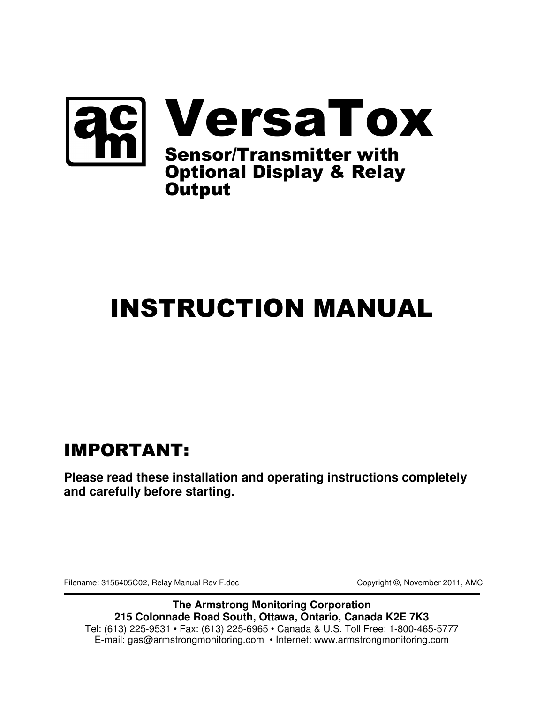

# INSTRUCTION MANUAL

# IMPORTANT:

**Please read these installation and operating instructions completely and carefully before starting.** 

Filename: 3156405C02, Relay Manual Rev F.doc Copyright ©, November 2011, AMC

**The Armstrong Monitoring Corporation 215 Colonnade Road South, Ottawa, Ontario, Canada K2E 7K3**  Tel: (613) 225-9531 • Fax: (613) 225-6965 • Canada & U.S. Toll Free: 1-800-465-5777 E-mail: gas@armstrongmonitoring.com • Internet: www.armstrongmonitoring.com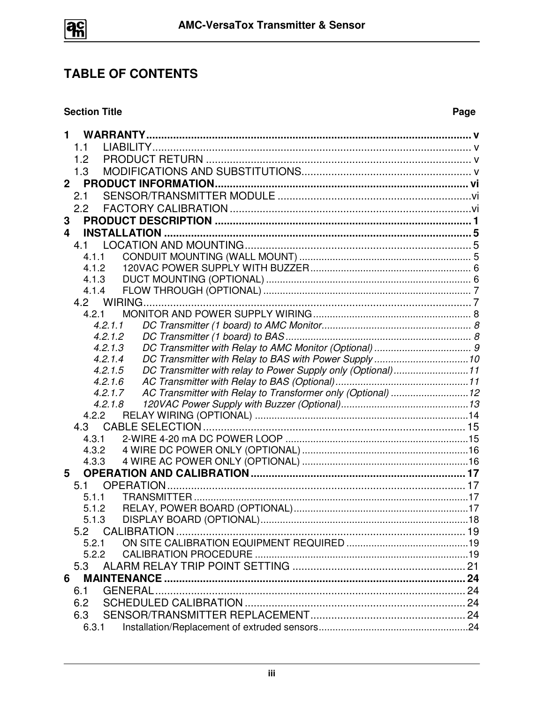

# **TABLE OF CONTENTS**

#### **Section Title**

#### Page

| 1                                                                      |  |
|------------------------------------------------------------------------|--|
| 1.1                                                                    |  |
| 1.2                                                                    |  |
| 1.3                                                                    |  |
| 2 <sup>1</sup>                                                         |  |
| 2.1                                                                    |  |
| 2.2                                                                    |  |
| 3                                                                      |  |
| 4                                                                      |  |
| 4.1                                                                    |  |
| 4.1.1                                                                  |  |
| 4.1.2                                                                  |  |
| 4.1.3                                                                  |  |
| 4.1.4                                                                  |  |
|                                                                        |  |
| 4.2.1                                                                  |  |
| 4.2.1.1<br>4.2.1.2                                                     |  |
| 4.2.1.3                                                                |  |
| 4.2.1.4                                                                |  |
| DC Transmitter with relay to Power Supply only (Optional)11<br>4.2.1.5 |  |
| 4.2.1.6                                                                |  |
| 4.2.1.7                                                                |  |
| 4.2.1.8                                                                |  |
| 4.2.2                                                                  |  |
| 4.3                                                                    |  |
| 4.3.1                                                                  |  |
| 4.3.2                                                                  |  |
| 4.3.3                                                                  |  |
| 5                                                                      |  |
| 5.1<br>5.1.1                                                           |  |
| 5.1.2                                                                  |  |
| 5.1.3                                                                  |  |
| 5.2                                                                    |  |
| 5.2.1                                                                  |  |
| 5.2.2                                                                  |  |
| 5.3                                                                    |  |
| 6                                                                      |  |
| 6.1                                                                    |  |
| 6.2                                                                    |  |
| 6.3                                                                    |  |
| 6.3.1                                                                  |  |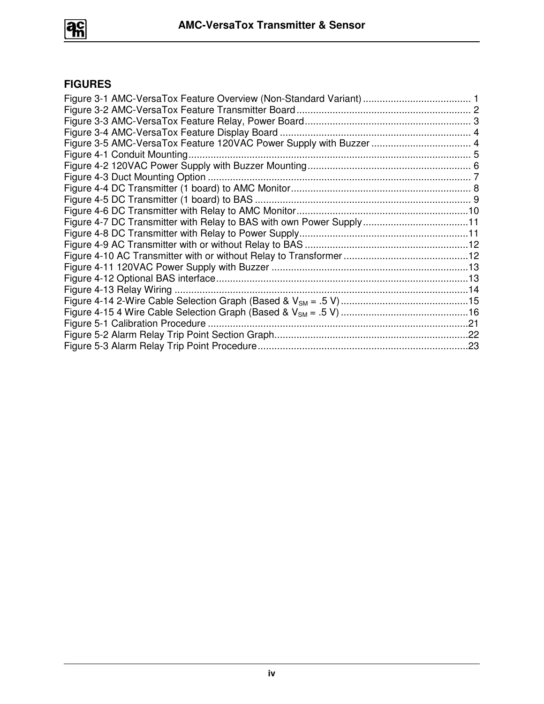

### **FIGURES**

| Figure 4-7 DC Transmitter with Relay to BAS with own Power Supply11<br>Figure 5-1 Calibration Procedure |  |
|---------------------------------------------------------------------------------------------------------|--|
|                                                                                                         |  |
|                                                                                                         |  |
|                                                                                                         |  |
|                                                                                                         |  |
|                                                                                                         |  |
|                                                                                                         |  |
|                                                                                                         |  |
|                                                                                                         |  |
|                                                                                                         |  |
|                                                                                                         |  |
|                                                                                                         |  |
|                                                                                                         |  |
|                                                                                                         |  |
|                                                                                                         |  |
|                                                                                                         |  |
|                                                                                                         |  |
|                                                                                                         |  |
|                                                                                                         |  |
|                                                                                                         |  |
|                                                                                                         |  |
|                                                                                                         |  |
|                                                                                                         |  |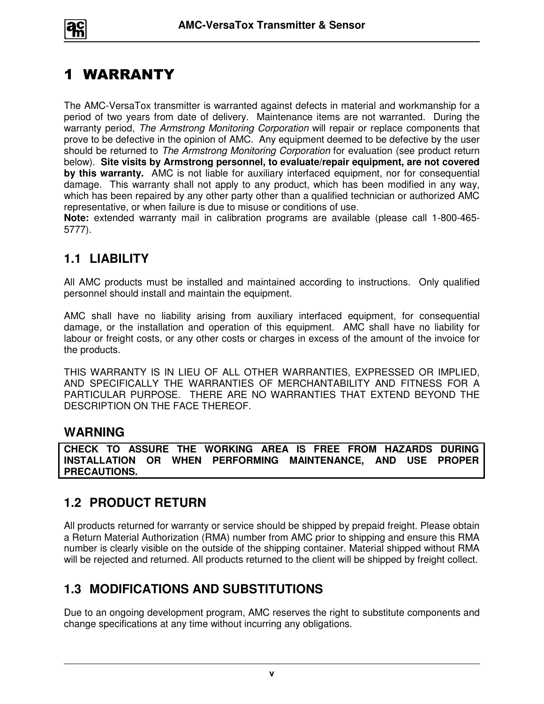

# 1 WARRANTY

The AMC-VersaTox transmitter is warranted against defects in material and workmanship for a period of two years from date of delivery. Maintenance items are not warranted. During the warranty period, The Armstrong Monitoring Corporation will repair or replace components that prove to be defective in the opinion of AMC. Any equipment deemed to be defective by the user should be returned to The Armstrong Monitoring Corporation for evaluation (see product return below). **Site visits by Armstrong personnel, to evaluate/repair equipment, are not covered by this warranty.** AMC is not liable for auxiliary interfaced equipment, nor for consequential damage. This warranty shall not apply to any product, which has been modified in any way, which has been repaired by any other party other than a qualified technician or authorized AMC representative, or when failure is due to misuse or conditions of use.

**Note:** extended warranty mail in calibration programs are available (please call 1-800-465- 5777).

## **1.1 LIABILITY**

All AMC products must be installed and maintained according to instructions. Only qualified personnel should install and maintain the equipment.

AMC shall have no liability arising from auxiliary interfaced equipment, for consequential damage, or the installation and operation of this equipment. AMC shall have no liability for labour or freight costs, or any other costs or charges in excess of the amount of the invoice for the products.

THIS WARRANTY IS IN LIEU OF ALL OTHER WARRANTIES, EXPRESSED OR IMPLIED, AND SPECIFICALLY THE WARRANTIES OF MERCHANTABILITY AND FITNESS FOR A PARTICULAR PURPOSE. THERE ARE NO WARRANTIES THAT EXTEND BEYOND THE DESCRIPTION ON THE FACE THEREOF.

## **WARNING**

**CHECK TO ASSURE THE WORKING AREA IS FREE FROM HAZARDS DURING INSTALLATION OR WHEN PERFORMING MAINTENANCE, AND USE PROPER PRECAUTIONS.** 

## **1.2 PRODUCT RETURN**

All products returned for warranty or service should be shipped by prepaid freight. Please obtain a Return Material Authorization (RMA) number from AMC prior to shipping and ensure this RMA number is clearly visible on the outside of the shipping container. Material shipped without RMA will be rejected and returned. All products returned to the client will be shipped by freight collect.

## **1.3 MODIFICATIONS AND SUBSTITUTIONS**

Due to an ongoing development program, AMC reserves the right to substitute components and change specifications at any time without incurring any obligations.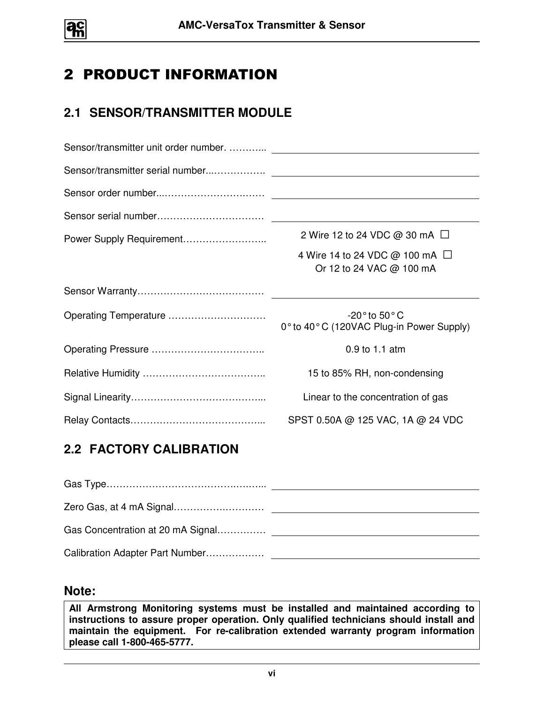

# 2 PRODUCT INFORMATION

## **2.1 SENSOR/TRANSMITTER MODULE**

|                       | 2 Wire 12 to 24 VDC @ 30 mA $\Box$                              |  |  |  |  |  |
|-----------------------|-----------------------------------------------------------------|--|--|--|--|--|
|                       | 4 Wire 14 to 24 VDC @ 100 mA $\Box$<br>Or 12 to 24 VAC @ 100 mA |  |  |  |  |  |
|                       |                                                                 |  |  |  |  |  |
| Operating Temperature | -20° to 50° C<br>0° to 40° C (120VAC Plug-in Power Supply)      |  |  |  |  |  |
|                       | 0.9 to 1.1 atm                                                  |  |  |  |  |  |
|                       | 15 to 85% RH, non-condensing                                    |  |  |  |  |  |
|                       | Linear to the concentration of gas                              |  |  |  |  |  |
|                       | SPST 0.50A @ 125 VAC, 1A @ 24 VDC                               |  |  |  |  |  |

## **2.2 FACTORY CALIBRATION**

| Gas Concentration at 20 mA Signal |  |
|-----------------------------------|--|
| Calibration Adapter Part Number   |  |

#### **Note:**

**All Armstrong Monitoring systems must be installed and maintained according to instructions to assure proper operation. Only qualified technicians should install and maintain the equipment. For re-calibration extended warranty program information please call 1-800-465-5777.**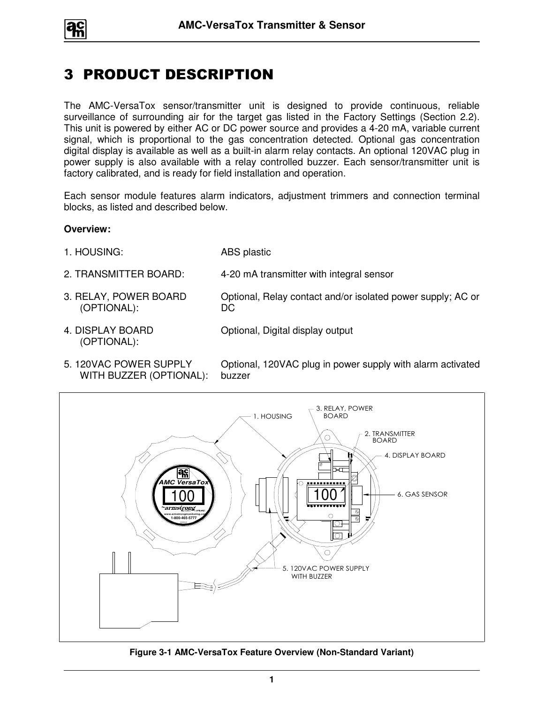

# 3 PRODUCT DESCRIPTION

The AMC-VersaTox sensor/transmitter unit is designed to provide continuous, reliable surveillance of surrounding air for the target gas listed in the Factory Settings (Section 2.2). This unit is powered by either AC or DC power source and provides a 4-20 mA, variable current signal, which is proportional to the gas concentration detected. Optional gas concentration digital display is available as well as a built-in alarm relay contacts. An optional 120VAC plug in power supply is also available with a relay controlled buzzer. Each sensor/transmitter unit is factory calibrated, and is ready for field installation and operation.

Each sensor module features alarm indicators, adjustment trimmers and connection terminal blocks, as listed and described below.

#### **Overview:**

- 1. HOUSING: ABS plastic
- 2. TRANSMITTER BOARD: 4-20 mA transmitter with integral sensor

DC

- 3. RELAY, POWER BOARD (OPTIONAL):
- 4. DISPLAY BOARD (OPTIONAL):

Optional, Digital display output

5. 120VAC POWER SUPPLY WITH BUZZER (OPTIONAL):

Optional, 120VAC plug in power supply with alarm activated buzzer

Optional, Relay contact and/or isolated power supply; AC or



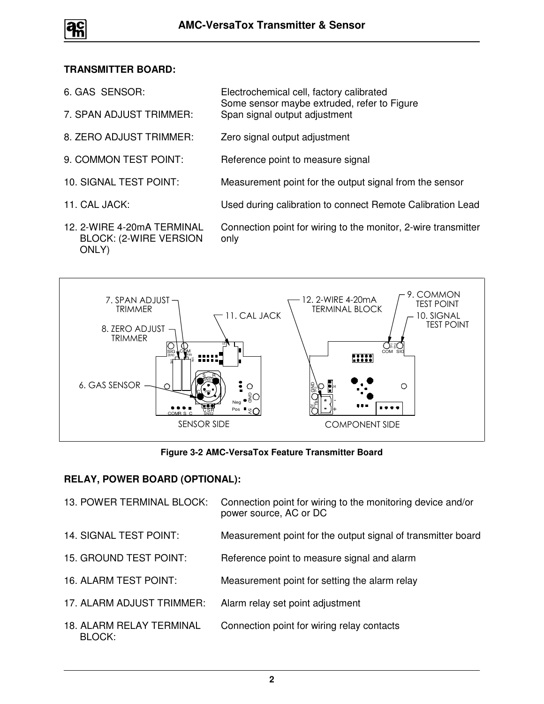

#### **TRANSMITTER BOARD:**

- 6. GAS SENSOR: Electrochemical cell, factory calibrated Some sensor maybe extruded, refer to Figure
- 7. SPAN ADJUST TRIMMER: Span signal output adjustment
- 8. ZERO ADJUST TRIMMER: Zero signal output adjustment
- 9. COMMON TEST POINT: Reference point to measure signal
- 10. SIGNAL TEST POINT: Measurement point for the output signal from the sensor
- 
- 12. 2-WIRE 4-20mA TERMINAL BLOCK: (2-WIRE VERSION ONLY)

11. CAL JACK: Used during calibration to connect Remote Calibration Lead

Connection point for wiring to the monitor, 2-wire transmitter only



**Figure 3-2 AMC-VersaTox Feature Transmitter Board** 

#### **RELAY, POWER BOARD (OPTIONAL):**

| 13. POWER TERMINAL BLOCK:                 | Connection point for wiring to the monitoring device and/or<br>power source, AC or DC |
|-------------------------------------------|---------------------------------------------------------------------------------------|
| 14. SIGNAL TEST POINT:                    | Measurement point for the output signal of transmitter board                          |
| 15. GROUND TEST POINT:                    | Reference point to measure signal and alarm                                           |
| <b>16. ALARM TEST POINT:</b>              | Measurement point for setting the alarm relay                                         |
| 17. ALARM ADJUST TRIMMER:                 | Alarm relay set point adjustment                                                      |
| <b>18. ALARM RELAY TERMINAL</b><br>BLOCK: | Connection point for wiring relay contacts                                            |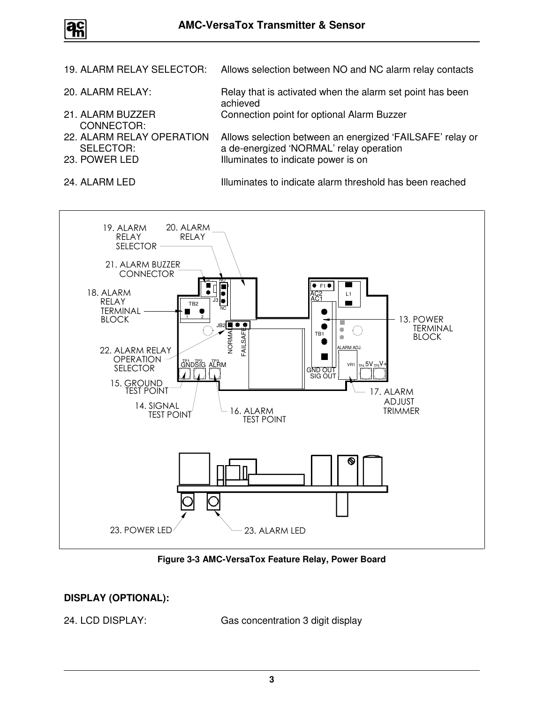

- 19. ALARM RELAY SELECTOR: Allows selection between NO and NC alarm relay contacts
- 20. ALARM RELAY: Relay that is activated when the alarm set point has been achieved 21. ALARM BUZZER CONNECTOR: Connection point for optional Alarm Buzzer 22. ALARM RELAY OPERATION SELECTOR:<br>23. POWER LED Allows selection between an energized 'FAILSAFE' relay or a de-energized 'NORMAL' relay operation Illuminates to indicate power is on
- 

24. ALARM LED **Illuminates to indicate alarm threshold has been reached** 



**Figure 3-3 AMC-VersaTox Feature Relay, Power Board** 

#### **DISPLAY (OPTIONAL):**

24. LCD DISPLAY: Gas concentration 3 digit display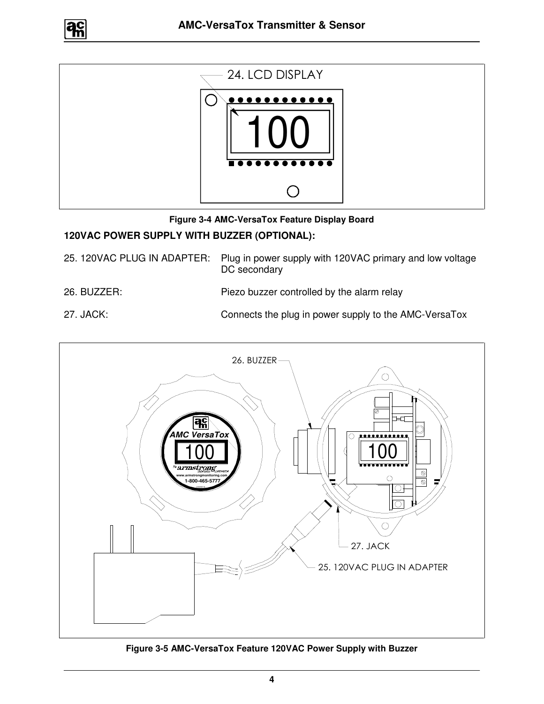





#### **120VAC POWER SUPPLY WITH BUZZER (OPTIONAL):**

25. 120VAC PLUG IN ADAPTER: Plug in power supply with 120VAC primary and low voltage DC secondary

#### 26. BUZZER: Piezo buzzer controlled by the alarm relay

27. JACK: Connects the plug in power supply to the AMC-VersaTox



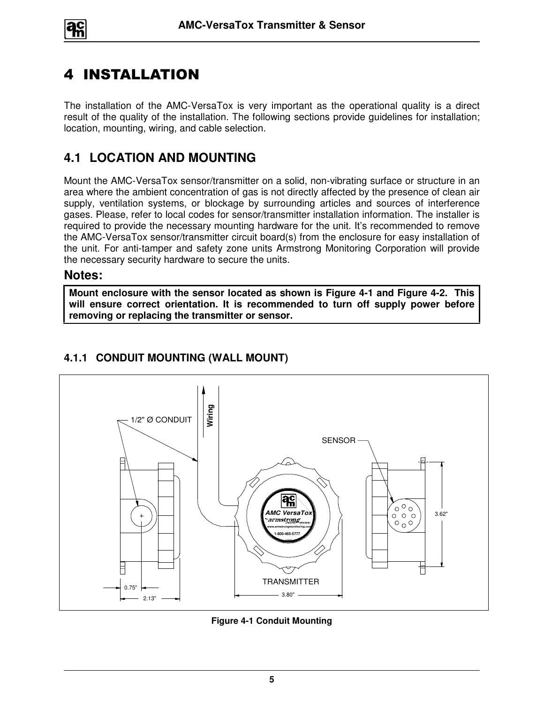

# 4 INSTALLATION

The installation of the AMC-VersaTox is very important as the operational quality is a direct result of the quality of the installation. The following sections provide guidelines for installation; location, mounting, wiring, and cable selection.

## **4.1 LOCATION AND MOUNTING**

Mount the AMC-VersaTox sensor/transmitter on a solid, non-vibrating surface or structure in an area where the ambient concentration of gas is not directly affected by the presence of clean air supply, ventilation systems, or blockage by surrounding articles and sources of interference gases. Please, refer to local codes for sensor/transmitter installation information. The installer is required to provide the necessary mounting hardware for the unit. It's recommended to remove the AMC-VersaTox sensor/transmitter circuit board(s) from the enclosure for easy installation of the unit. For anti-tamper and safety zone units Armstrong Monitoring Corporation will provide the necessary security hardware to secure the units.

#### **Notes:**

**Mount enclosure with the sensor located as shown is Figure 4-1 and Figure 4-2. This will ensure correct orientation. It is recommended to turn off supply power before removing or replacing the transmitter or sensor.** 



## **4.1.1 CONDUIT MOUNTING (WALL MOUNT)**

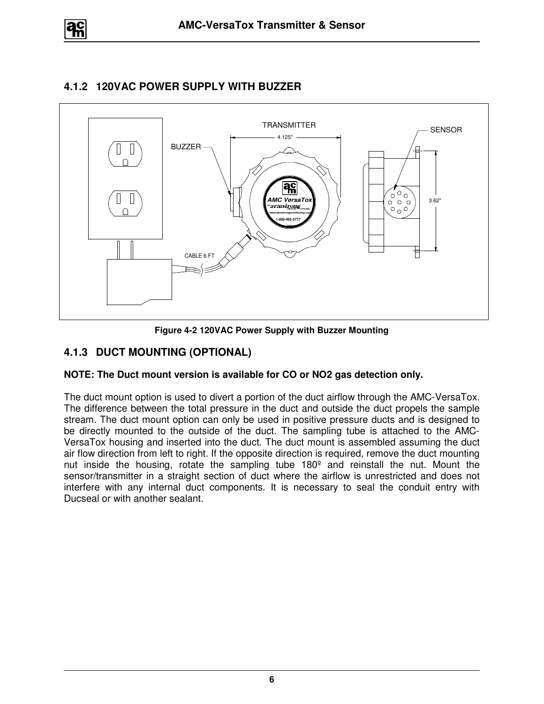

#### **4.1.2 120VAC POWER SUPPLY WITH BUZZER**



**Figure 4-2 120VAC Power Supply with Buzzer Mounting**

#### **4.1.3 DUCT MOUNTING (OPTIONAL)**

#### **NOTE: The Duct mount version is available for CO or NO2 gas detection only.**

The duct mount option is used to divert a portion of the duct airflow through the AMC-VersaTox. The difference between the total pressure in the duct and outside the duct propels the sample stream. The duct mount option can only be used in positive pressure ducts and is designed to be directly mounted to the outside of the duct. The sampling tube is attached to the AMC-VersaTox housing and inserted into the duct. The duct mount is assembled assuming the duct air flow direction from left to right. If the opposite direction is required, remove the duct mounting nut inside the housing, rotate the sampling tube 180º and reinstall the nut. Mount the sensor/transmitter in a straight section of duct where the airflow is unrestricted and does not interfere with any internal duct components. It is necessary to seal the conduit entry with Ducseal or with another sealant.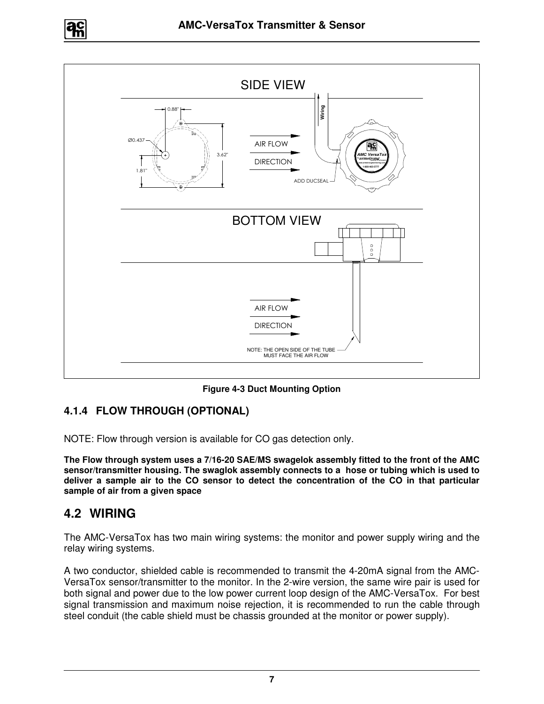



**Figure 4-3 Duct Mounting Option** 

#### **4.1.4 FLOW THROUGH (OPTIONAL)**

NOTE: Flow through version is available for CO gas detection only.

**The Flow through system uses a 7/16-20 SAE/MS swagelok assembly fitted to the front of the AMC sensor/transmitter housing. The swaglok assembly connects to a hose or tubing which is used to deliver a sample air to the CO sensor to detect the concentration of the CO in that particular sample of air from a given space** 

## **4.2 WIRING**

The AMC-VersaTox has two main wiring systems: the monitor and power supply wiring and the relay wiring systems.

A two conductor, shielded cable is recommended to transmit the 4-20mA signal from the AMC-VersaTox sensor/transmitter to the monitor. In the 2-wire version, the same wire pair is used for both signal and power due to the low power current loop design of the AMC-VersaTox. For best signal transmission and maximum noise rejection, it is recommended to run the cable through steel conduit (the cable shield must be chassis grounded at the monitor or power supply).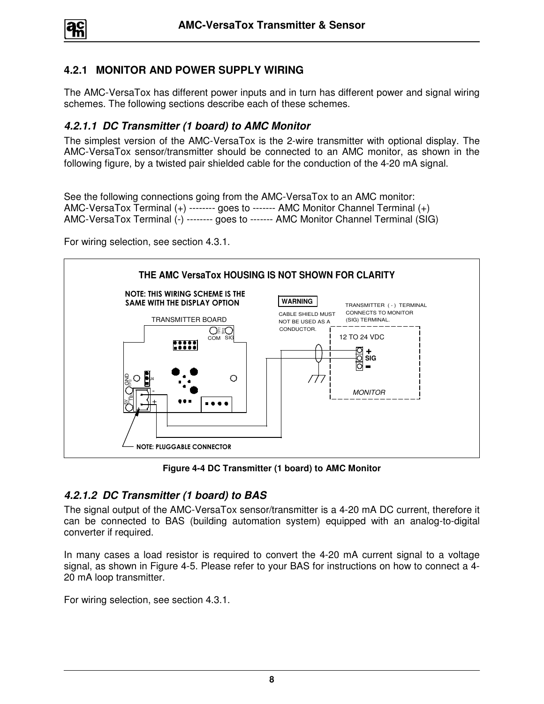#### **4.2.1 MONITOR AND POWER SUPPLY WIRING**

The AMC-VersaTox has different power inputs and in turn has different power and signal wiring schemes. The following sections describe each of these schemes.

#### **4.2.1.1 DC Transmitter (1 board) to AMC Monitor**

The simplest version of the AMC-VersaTox is the 2-wire transmitter with optional display. The AMC-VersaTox sensor/transmitter should be connected to an AMC monitor, as shown in the following figure, by a twisted pair shielded cable for the conduction of the 4-20 mA signal.

See the following connections going from the AMC-VersaTox to an AMC monitor: AMC-VersaTox Terminal (+) -------- goes to ------- AMC Monitor Channel Terminal (+) AMC-VersaTox Terminal (-) -------- goes to ------- AMC Monitor Channel Terminal (SIG)

For wiring selection, see section 4.3.1.



**Figure 4-4 DC Transmitter (1 board) to AMC Monitor** 

#### **4.2.1.2 DC Transmitter (1 board) to BAS**

The signal output of the AMC-VersaTox sensor/transmitter is a 4-20 mA DC current, therefore it can be connected to BAS (building automation system) equipped with an analog-to-digital converter if required.

In many cases a load resistor is required to convert the 4-20 mA current signal to a voltage signal, as shown in Figure 4-5. Please refer to your BAS for instructions on how to connect a 4- 20 mA loop transmitter.

For wiring selection, see section 4.3.1.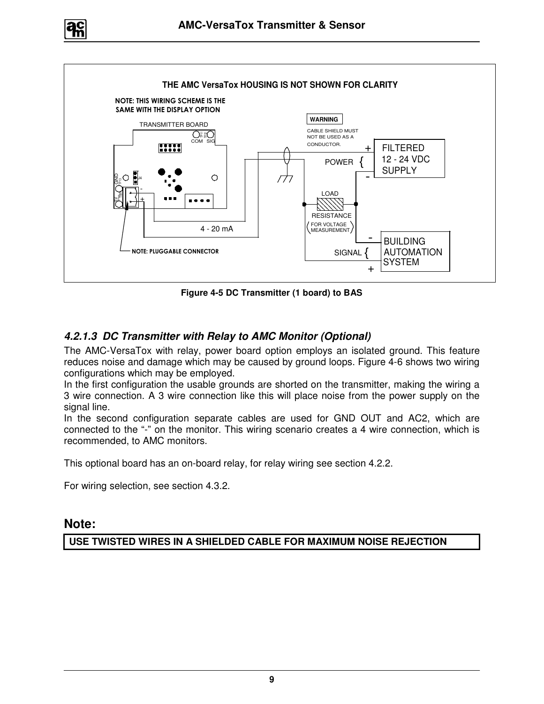



**Figure 4-5 DC Transmitter (1 board) to BAS** 

#### **4.2.1.3 DC Transmitter with Relay to AMC Monitor (Optional)**

The AMC-VersaTox with relay, power board option employs an isolated ground. This feature reduces noise and damage which may be caused by ground loops. Figure 4-6 shows two wiring configurations which may be employed.

In the first configuration the usable grounds are shorted on the transmitter, making the wiring a 3 wire connection. A 3 wire connection like this will place noise from the power supply on the signal line.

In the second configuration separate cables are used for GND OUT and AC2, which are connected to the "-" on the monitor. This wiring scenario creates a 4 wire connection, which is recommended, to AMC monitors.

This optional board has an on-board relay, for relay wiring see section 4.2.2.

For wiring selection, see section 4.3.2.

#### **Note:**

**USE TWISTED WIRES IN A SHIELDED CABLE FOR MAXIMUM NOISE REJECTION**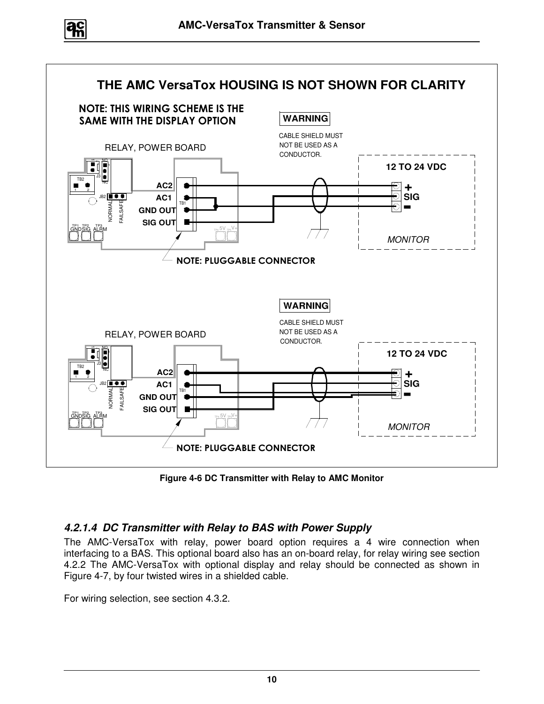



**Figure 4-6 DC Transmitter with Relay to AMC Monitor**

#### **4.2.1.4 DC Transmitter with Relay to BAS with Power Supply**

The AMC-VersaTox with relay, power board option requires a 4 wire connection when interfacing to a BAS. This optional board also has an on-board relay, for relay wiring see section 4.2.2 The AMC-VersaTox with optional display and relay should be connected as shown in Figure 4-7, by four twisted wires in a shielded cable.

For wiring selection, see section 4.3.2.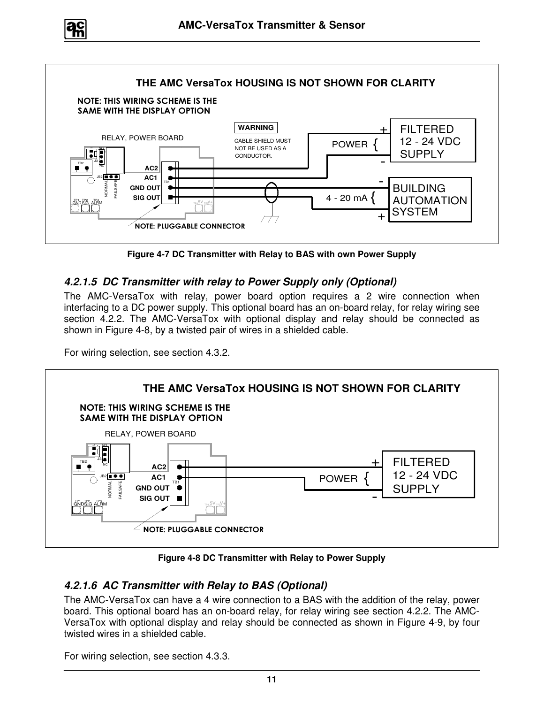



**Figure 4-7 DC Transmitter with Relay to BAS with own Power Supply** 

#### **4.2.1.5 DC Transmitter with relay to Power Supply only (Optional)**

The AMC-VersaTox with relay, power board option requires a 2 wire connection when interfacing to a DC power supply. This optional board has an on-board relay, for relay wiring see section 4.2.2. The AMC-VersaTox with optional display and relay should be connected as shown in Figure 4-8, by a twisted pair of wires in a shielded cable.

For wiring selection, see section 4.3.2.



**Figure 4-8 DC Transmitter with Relay to Power Supply** 

#### **4.2.1.6 AC Transmitter with Relay to BAS (Optional)**

The AMC-VersaTox can have a 4 wire connection to a BAS with the addition of the relay, power board. This optional board has an on-board relay, for relay wiring see section 4.2.2. The AMC-VersaTox with optional display and relay should be connected as shown in Figure 4-9, by four twisted wires in a shielded cable.

For wiring selection, see section 4.3.3.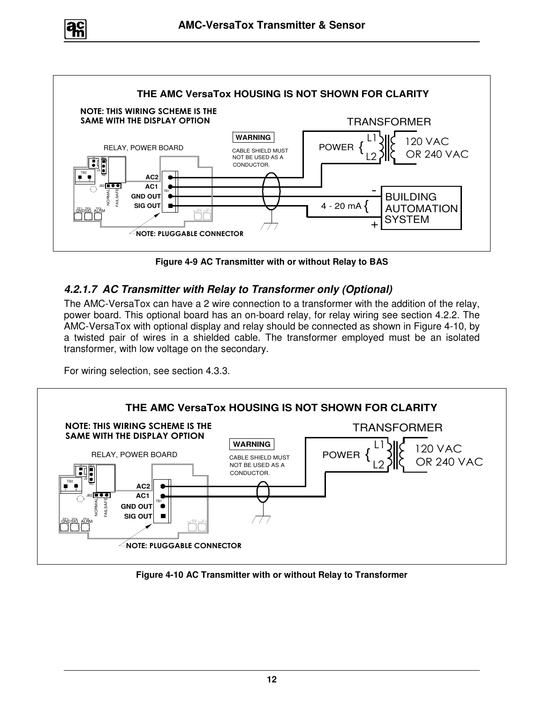



**Figure 4-9 AC Transmitter with or without Relay to BAS** 

#### **4.2.1.7 AC Transmitter with Relay to Transformer only (Optional)**

The AMC-VersaTox can have a 2 wire connection to a transformer with the addition of the relay, power board. This optional board has an on-board relay, for relay wiring see section 4.2.2. The AMC-VersaTox with optional display and relay should be connected as shown in Figure 4-10, by a twisted pair of wires in a shielded cable. The transformer employed must be an isolated transformer, with low voltage on the secondary.

For wiring selection, see section 4.3.3.



**Figure 4-10 AC Transmitter with or without Relay to Transformer**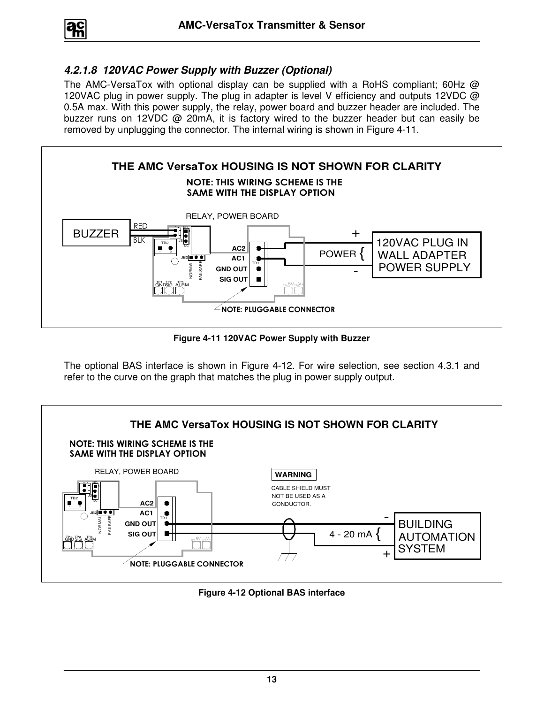$$
\boxed{a_n^c}
$$

#### **4.2.1.8 120VAC Power Supply with Buzzer (Optional)**

The AMC-VersaTox with optional display can be supplied with a RoHS compliant; 60Hz  $@$ 120VAC plug in power supply. The plug in adapter is level V efficiency and outputs 12VDC @ 0.5A max. With this power supply, the relay, power board and buzzer header are included. The buzzer runs on 12VDC @ 20mA, it is factory wired to the buzzer header but can easily be removed by unplugging the connector. The internal wiring is shown in Figure 4-11.



**Figure 4-11 120VAC Power Supply with Buzzer** 

The optional BAS interface is shown in Figure 4-12. For wire selection, see section 4.3.1 and refer to the curve on the graph that matches the plug in power supply output.



**Figure 4-12 Optional BAS interface**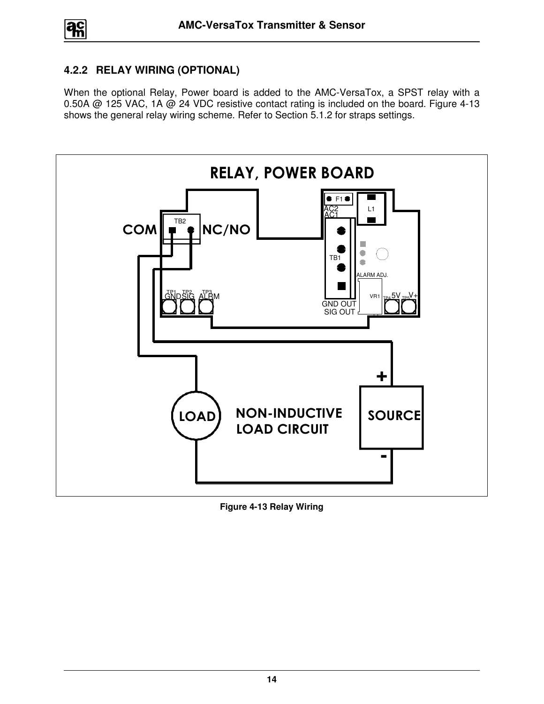#### **4.2.2 RELAY WIRING (OPTIONAL)**

When the optional Relay, Power board is added to the AMC-VersaTox, a SPST relay with a 0.50A @ 125 VAC, 1A @ 24 VDC resistive contact rating is included on the board. Figure 4-13 shows the general relay wiring scheme. Refer to Section 5.1.2 for straps settings.



**Figure 4-13 Relay Wiring**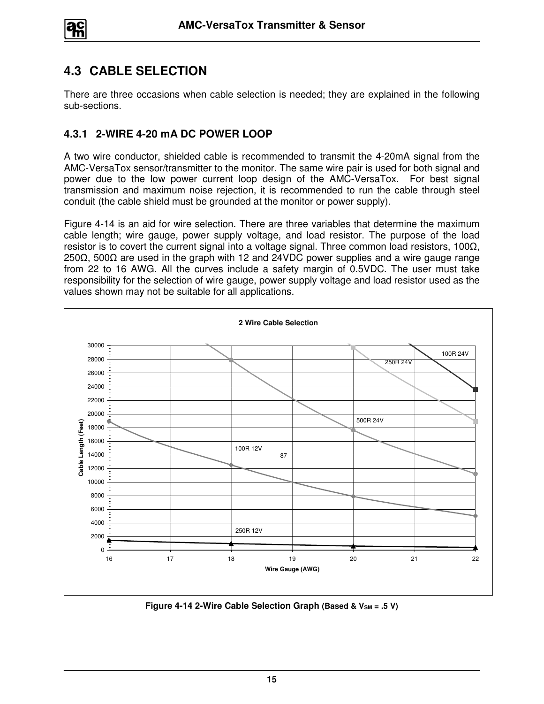

## **4.3 CABLE SELECTION**

There are three occasions when cable selection is needed; they are explained in the following sub-sections.

#### **4.3.1 2-WIRE 4-20 mA DC POWER LOOP**

A two wire conductor, shielded cable is recommended to transmit the 4-20mA signal from the AMC-VersaTox sensor/transmitter to the monitor. The same wire pair is used for both signal and power due to the low power current loop design of the AMC-VersaTox. For best signal transmission and maximum noise rejection, it is recommended to run the cable through steel conduit (the cable shield must be grounded at the monitor or power supply).

Figure 4-14 is an aid for wire selection. There are three variables that determine the maximum cable length; wire gauge, power supply voltage, and load resistor. The purpose of the load resistor is to covert the current signal into a voltage signal. Three common load resistors, 100Ω, 250Ω, 500Ω are used in the graph with 12 and 24VDC power supplies and a wire gauge range from 22 to 16 AWG. All the curves include a safety margin of 0.5VDC. The user must take responsibility for the selection of wire gauge, power supply voltage and load resistor used as the values shown may not be suitable for all applications.



**Figure 4-14 2-Wire Cable Selection Graph (Based & V<sub>SM</sub> = .5 V)**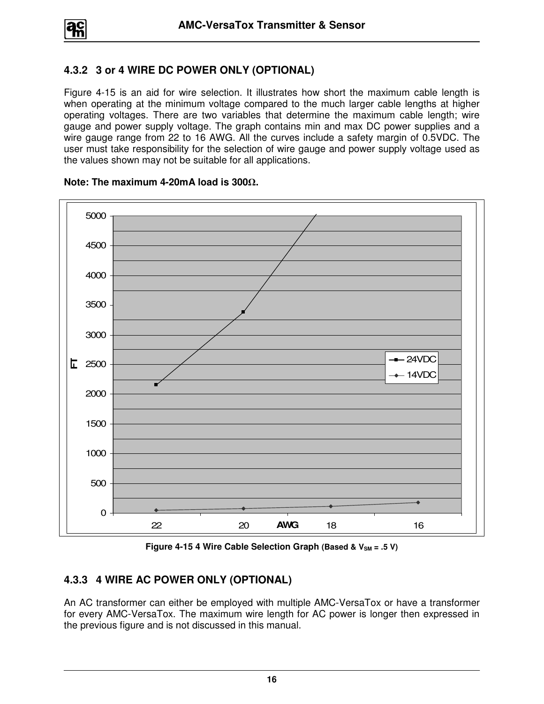#### **4.3.2 3 or 4 WIRE DC POWER ONLY (OPTIONAL)**

Figure 4-15 is an aid for wire selection. It illustrates how short the maximum cable length is when operating at the minimum voltage compared to the much larger cable lengths at higher operating voltages. There are two variables that determine the maximum cable length; wire gauge and power supply voltage. The graph contains min and max DC power supplies and a wire gauge range from 22 to 16 AWG. All the curves include a safety margin of 0.5VDC. The user must take responsibility for the selection of wire gauge and power supply voltage used as the values shown may not be suitable for all applications.



#### **Note: The maximum 4-20mA load is 300**Ω**.**

**Figure 4-15 4 Wire Cable Selection Graph (Based & VSM = .5 V)**

#### **4.3.3 4 WIRE AC POWER ONLY (OPTIONAL)**

An AC transformer can either be employed with multiple AMC-VersaTox or have a transformer for every AMC-VersaTox. The maximum wire length for AC power is longer then expressed in the previous figure and is not discussed in this manual.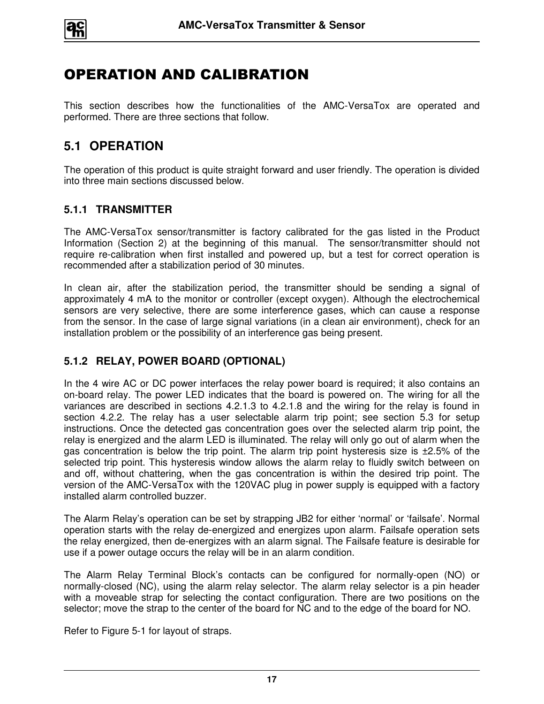

# OPERATION AND CALIBRATION

This section describes how the functionalities of the AMC-VersaTox are operated and performed. There are three sections that follow.

## **5.1 OPERATION**

The operation of this product is quite straight forward and user friendly. The operation is divided into three main sections discussed below.

#### **5.1.1 TRANSMITTER**

The AMC-VersaTox sensor/transmitter is factory calibrated for the gas listed in the Product Information (Section 2) at the beginning of this manual. The sensor/transmitter should not require re-calibration when first installed and powered up, but a test for correct operation is recommended after a stabilization period of 30 minutes.

In clean air, after the stabilization period, the transmitter should be sending a signal of approximately 4 mA to the monitor or controller (except oxygen). Although the electrochemical sensors are very selective, there are some interference gases, which can cause a response from the sensor. In the case of large signal variations (in a clean air environment), check for an installation problem or the possibility of an interference gas being present.

#### **5.1.2 RELAY, POWER BOARD (OPTIONAL)**

In the 4 wire AC or DC power interfaces the relay power board is required; it also contains an on-board relay. The power LED indicates that the board is powered on. The wiring for all the variances are described in sections 4.2.1.3 to 4.2.1.8 and the wiring for the relay is found in section 4.2.2. The relay has a user selectable alarm trip point; see section 5.3 for setup instructions. Once the detected gas concentration goes over the selected alarm trip point, the relay is energized and the alarm LED is illuminated. The relay will only go out of alarm when the gas concentration is below the trip point. The alarm trip point hysteresis size is ±2.5% of the selected trip point. This hysteresis window allows the alarm relay to fluidly switch between on and off, without chattering, when the gas concentration is within the desired trip point. The version of the AMC-VersaTox with the 120VAC plug in power supply is equipped with a factory installed alarm controlled buzzer.

The Alarm Relay's operation can be set by strapping JB2 for either 'normal' or 'failsafe'. Normal operation starts with the relay de-energized and energizes upon alarm. Failsafe operation sets the relay energized, then de-energizes with an alarm signal. The Failsafe feature is desirable for use if a power outage occurs the relay will be in an alarm condition.

The Alarm Relay Terminal Block's contacts can be configured for normally-open (NO) or normally-closed (NC), using the alarm relay selector. The alarm relay selector is a pin header with a moveable strap for selecting the contact configuration. There are two positions on the selector; move the strap to the center of the board for NC and to the edge of the board for NO.

Refer to Figure 5-1 for layout of straps.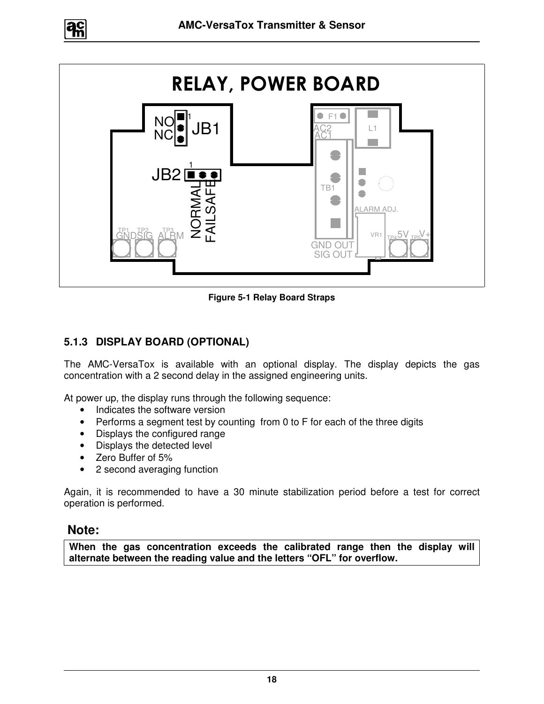



**Figure 5-1 Relay Board Straps** 

#### **5.1.3 DISPLAY BOARD (OPTIONAL)**

The AMC-VersaTox is available with an optional display. The display depicts the gas concentration with a 2 second delay in the assigned engineering units.

At power up, the display runs through the following sequence:

- Indicates the software version
- Performs a segment test by counting from 0 to F for each of the three digits
- Displays the configured range
- Displays the detected level
- Zero Buffer of 5%
- 2 second averaging function

Again, it is recommended to have a 30 minute stabilization period before a test for correct operation is performed.

#### **Note:**

**When the gas concentration exceeds the calibrated range then the display will alternate between the reading value and the letters "OFL" for overflow.**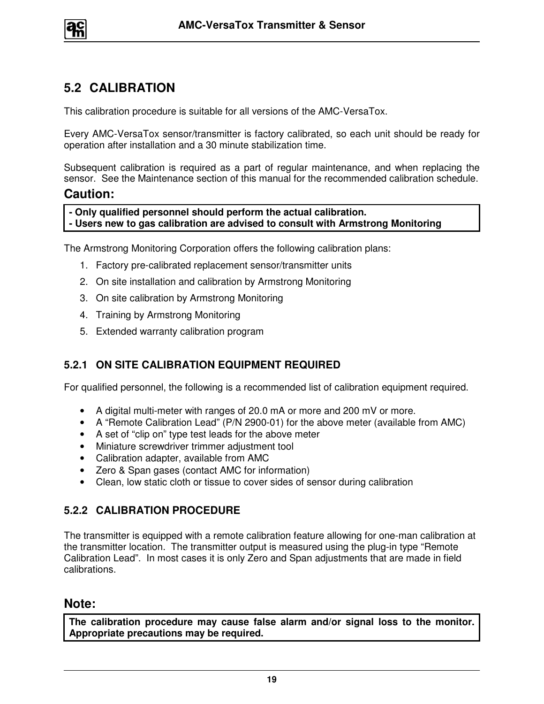

## **5.2 CALIBRATION**

This calibration procedure is suitable for all versions of the AMC-VersaTox.

Every AMC-VersaTox sensor/transmitter is factory calibrated, so each unit should be ready for operation after installation and a 30 minute stabilization time.

Subsequent calibration is required as a part of regular maintenance, and when replacing the sensor. See the Maintenance section of this manual for the recommended calibration schedule.

#### **Caution:**

**- Only qualified personnel should perform the actual calibration.** 

**- Users new to gas calibration are advised to consult with Armstrong Monitoring** 

The Armstrong Monitoring Corporation offers the following calibration plans:

- 1. Factory pre-calibrated replacement sensor/transmitter units
- 2. On site installation and calibration by Armstrong Monitoring
- 3. On site calibration by Armstrong Monitoring
- 4. Training by Armstrong Monitoring
- 5. Extended warranty calibration program

#### **5.2.1 ON SITE CALIBRATION EQUIPMENT REQUIRED**

For qualified personnel, the following is a recommended list of calibration equipment required.

- A digital multi-meter with ranges of 20.0 mA or more and 200 mV or more.
- A "Remote Calibration Lead" (P/N 2900-01) for the above meter (available from AMC)
- A set of "clip on" type test leads for the above meter
- Miniature screwdriver trimmer adjustment tool
- Calibration adapter, available from AMC
- Zero & Span gases (contact AMC for information)
- Clean, low static cloth or tissue to cover sides of sensor during calibration

#### **5.2.2 CALIBRATION PROCEDURE**

The transmitter is equipped with a remote calibration feature allowing for one-man calibration at the transmitter location. The transmitter output is measured using the plug-in type "Remote Calibration Lead". In most cases it is only Zero and Span adjustments that are made in field calibrations.

#### **Note:**

**The calibration procedure may cause false alarm and/or signal loss to the monitor. Appropriate precautions may be required.**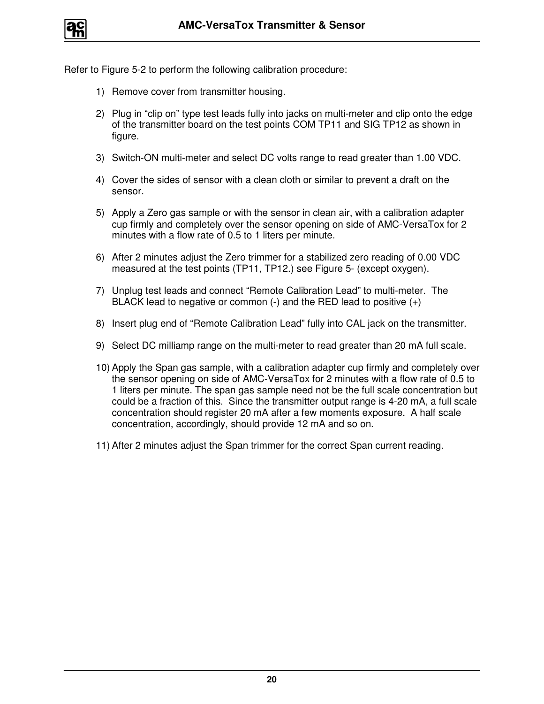

Refer to Figure 5-2 to perform the following calibration procedure:

- 1) Remove cover from transmitter housing.
- 2) Plug in "clip on" type test leads fully into jacks on multi-meter and clip onto the edge of the transmitter board on the test points COM TP11 and SIG TP12 as shown in figure.
- 3) Switch-ON multi-meter and select DC volts range to read greater than 1.00 VDC.
- 4) Cover the sides of sensor with a clean cloth or similar to prevent a draft on the sensor.
- 5) Apply a Zero gas sample or with the sensor in clean air, with a calibration adapter cup firmly and completely over the sensor opening on side of AMC-VersaTox for 2 minutes with a flow rate of 0.5 to 1 liters per minute.
- 6) After 2 minutes adjust the Zero trimmer for a stabilized zero reading of 0.00 VDC measured at the test points (TP11, TP12.) see Figure 5- (except oxygen).
- 7) Unplug test leads and connect "Remote Calibration Lead" to multi-meter. The BLACK lead to negative or common  $(-)$  and the RED lead to positive  $(+)$
- 8) Insert plug end of "Remote Calibration Lead" fully into CAL jack on the transmitter.
- 9) Select DC milliamp range on the multi-meter to read greater than 20 mA full scale.
- 10) Apply the Span gas sample, with a calibration adapter cup firmly and completely over the sensor opening on side of AMC-VersaTox for 2 minutes with a flow rate of 0.5 to 1 liters per minute. The span gas sample need not be the full scale concentration but could be a fraction of this. Since the transmitter output range is 4-20 mA, a full scale concentration should register 20 mA after a few moments exposure. A half scale concentration, accordingly, should provide 12 mA and so on.
- 11) After 2 minutes adjust the Span trimmer for the correct Span current reading.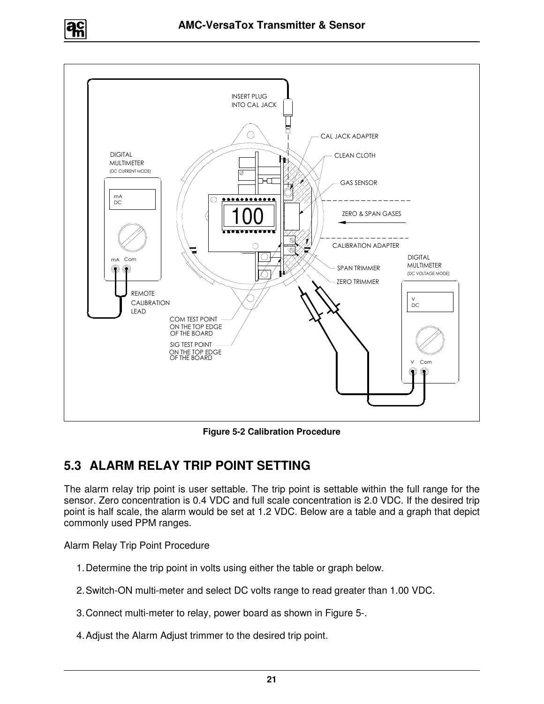



**Figure 5-2 Calibration Procedure** 

## **5.3 ALARM RELAY TRIP POINT SETTING**

The alarm relay trip point is user settable. The trip point is settable within the full range for the sensor. Zero concentration is 0.4 VDC and full scale concentration is 2.0 VDC. If the desired trip point is half scale, the alarm would be set at 1.2 VDC. Below are a table and a graph that depict commonly used PPM ranges.

Alarm Relay Trip Point Procedure

- 1. Determine the trip point in volts using either the table or graph below.
- 2. Switch-ON multi-meter and select DC volts range to read greater than 1.00 VDC.
- 3. Connect multi-meter to relay, power board as shown in Figure 5-.
- 4. Adjust the Alarm Adjust trimmer to the desired trip point.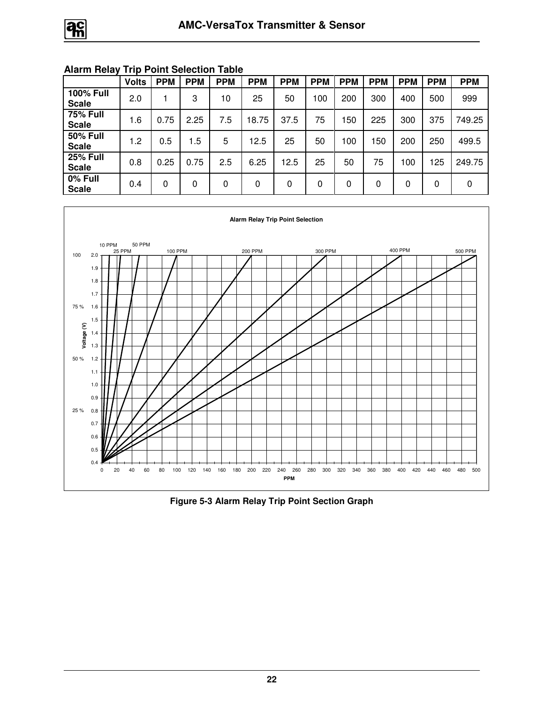|                                  | <b>Volts</b> | <b>PPM</b> | <b>PPM</b> | <b>PPM</b> | <b>PPM</b> | <b>PPM</b> | <b>PPM</b> | <b>PPM</b> | <b>PPM</b> | <b>PPM</b> | <b>PPM</b> | <b>PPM</b> |
|----------------------------------|--------------|------------|------------|------------|------------|------------|------------|------------|------------|------------|------------|------------|
| <b>100% Full</b><br><b>Scale</b> | 2.0          |            | 3          | 10         | 25         | 50         | 100        | 200        | 300        | 400        | 500        | 999        |
| <b>75% Full</b><br><b>Scale</b>  | 1.6          | 0.75       | 2.25       | 7.5        | 18.75      | 37.5       | 75         | 150        | 225        | 300        | 375        | 749.25     |
| <b>50% Full</b><br><b>Scale</b>  | 1.2          | 0.5        | 1.5        | 5          | 12.5       | 25         | 50         | 100        | 50         | 200        | 250        | 499.5      |
| <b>25% Full</b><br><b>Scale</b>  | 0.8          | 0.25       | 0.75       | 2.5        | 6.25       | 12.5       | 25         | 50         | 75         | 100        | 125        | 249.75     |
| 0% Full<br><b>Scale</b>          | 0.4          | 0          | 0          | 0          | 0          | 0          | 0          | 0          | 0          | 0          | 0          | 0          |

#### **Alarm Relay Trip Point Selection Table**



**Figure 5-3 Alarm Relay Trip Point Section Graph**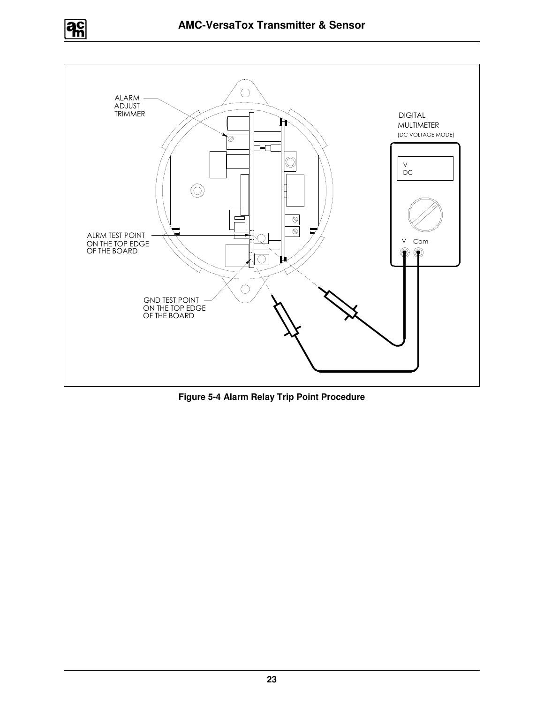



**Figure 5-4 Alarm Relay Trip Point Procedure**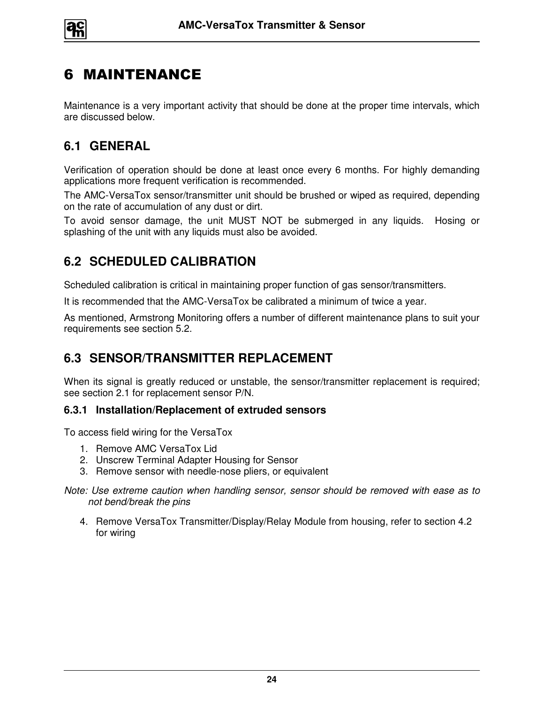

# 6 MAINTENANCE

Maintenance is a very important activity that should be done at the proper time intervals, which are discussed below.

## **6.1 GENERAL**

Verification of operation should be done at least once every 6 months. For highly demanding applications more frequent verification is recommended.

The AMC-VersaTox sensor/transmitter unit should be brushed or wiped as required, depending on the rate of accumulation of any dust or dirt.

To avoid sensor damage, the unit MUST NOT be submerged in any liquids. Hosing or splashing of the unit with any liquids must also be avoided.

## **6.2 SCHEDULED CALIBRATION**

Scheduled calibration is critical in maintaining proper function of gas sensor/transmitters.

It is recommended that the AMC-VersaTox be calibrated a minimum of twice a year.

As mentioned, Armstrong Monitoring offers a number of different maintenance plans to suit your requirements see section 5.2.

## **6.3 SENSOR/TRANSMITTER REPLACEMENT**

When its signal is greatly reduced or unstable, the sensor/transmitter replacement is required; see section 2.1 for replacement sensor P/N.

#### **6.3.1 Installation/Replacement of extruded sensors**

To access field wiring for the VersaTox

- 1. Remove AMC VersaTox Lid
- 2. Unscrew Terminal Adapter Housing for Sensor
- 3. Remove sensor with needle-nose pliers, or equivalent
- Note: Use extreme caution when handling sensor, sensor should be removed with ease as to not bend/break the pins
	- 4. Remove VersaTox Transmitter/Display/Relay Module from housing, refer to section 4.2 for wiring